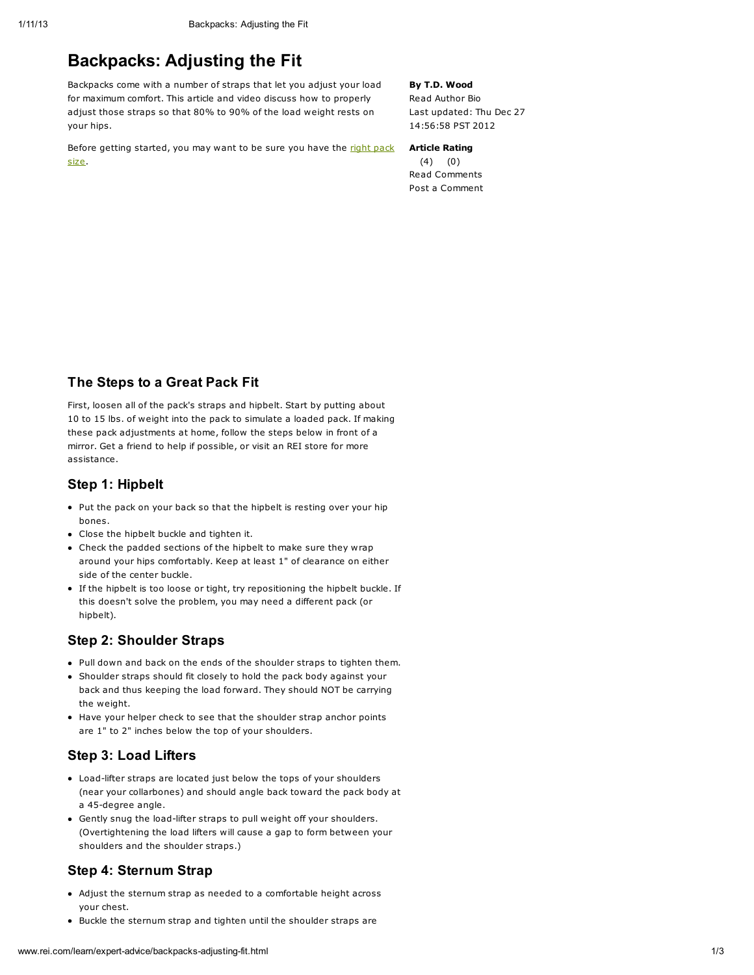# Backpacks: Adjusting the Fit

Backpacks come with a number of straps that let you adjust your load for maximum comfort. This article and video discuss how to properly adjust those straps so that 80% to 90% of the load weight rests on your hips.

Before getting [started,](http://www.rei.com/learn/expert-advice/backpacks-torso-hip-size.html) you may want to be sure you have the right pack size.

By T.D. Wood Read [Author](http://www.rei.com/learn/author-bios/t-d-wood.html) Bio Last updated: Thu Dec 27

Article Rating (4) (0) Read [Comments](http://www.rei.com/learn/expert-advice/backpacks-adjusting-fit.html#anchor_comments) Post a [Comment](http://www.rei.com/learn/expert-advice/backpacks-adjusting-fit.html#anchor_comments)

14:56:58 PST 2012

## The Steps to a Great Pack Fit

First, loosen all of the pack's straps and hipbelt. Start by putting about 10 to 15 lbs. of weight into the pack to simulate a loaded pack. If making these pack adjustments at home, follow the steps below in front of a mirror. Get a friend to help if possible, or visit an REI store for more assistance.

### Step 1: Hipbelt

- Put the pack on your back so that the hipbelt is resting over your hip bones.
- Close the hipbelt buckle and tighten it.
- Check the padded sections of the hipbelt to make sure they wrap around your hips comfortably. Keep at least 1" of clearance on either side of the center buckle.
- If the hipbelt is too loose or tight, try repositioning the hipbelt buckle. If this doesn't solve the problem, you may need a different pack (or hipbelt).

## Step 2: Shoulder Straps

- Pull down and back on the ends of the shoulder straps to tighten them.
- Shoulder straps should fit closely to hold the pack body against your back and thus keeping the load forward. They should NOT be carrying the weight.
- Have your helper check to see that the shoulder strap anchor points are 1" to 2" inches below the top of your shoulders.

## Step 3: Load Lifters

- Load-lifter straps are located just below the tops of your shoulders (near your collarbones) and should angle back toward the pack body at a 45-degree angle.
- Gently snug the load-lifter straps to pull weight off your shoulders. (Overtightening the load lifters will cause a gap to form between your shoulders and the shoulder straps.)

## Step 4: Sternum Strap

- Adjust the sternum strap as needed to a comfortable height across your chest.
- Buckle the sternum strap and tighten until the shoulder straps are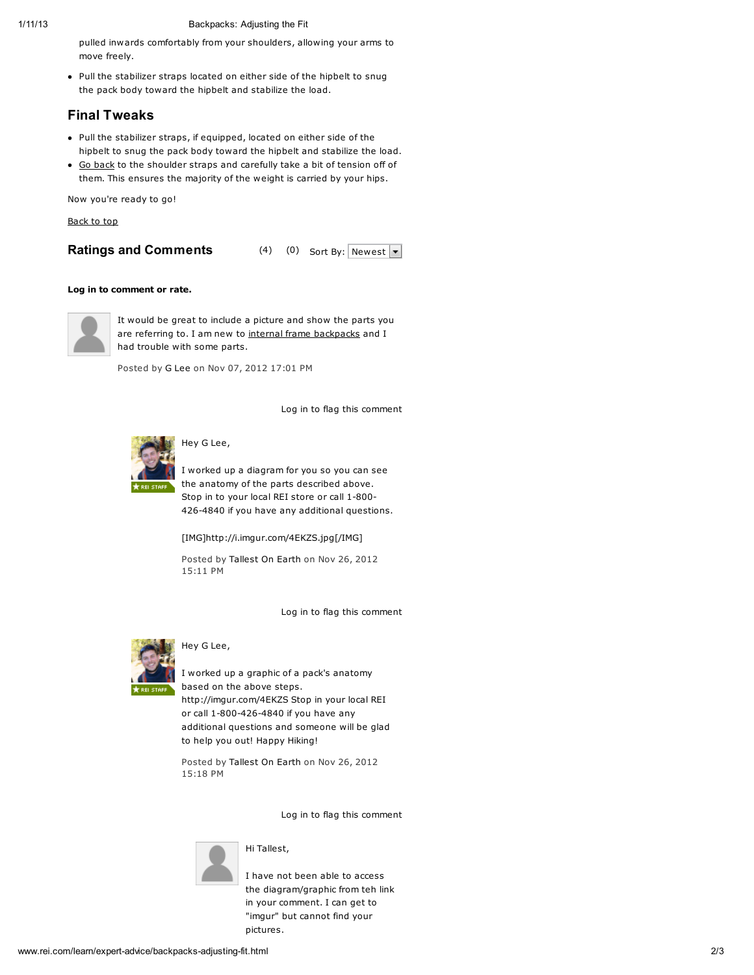### 1/11/13 Backpacks: Adjusting the Fit

pulled inwards comfortably from your shoulders, allowing your arms to move freely.

Pull the stabilizer straps located on either side of the hipbelt to snug the pack body toward the hipbelt and stabilize the load.

## Final Tweaks

- Pull the stabilizer straps, if equipped, located on either side of the hipbelt to snug the pack body toward the hipbelt and stabilize the load.
- Go [back](http://www.rei.com/learn/expert-advice/backpacks-adjusting-fit.html#) to the shoulder straps and carefully take a bit of tension off of them. This ensures the majority of the weight is carried by your hips.

Now you're ready to go!

[Back](http://www.rei.com/learn/expert-advice/backpacks-adjusting-fit.html#top) to top

## Ratings and Comments (4) (0) Sort By: Newest  $\overline{\phantom{a}}$

#### [Log](http://www.rei.com/YourAccountLoginView?toUrl=/learn/expert-advice/backpacks-adjusting-fit.html) in to comment or rate.



It would be great to include a picture and show the parts you are referring to. I am new to internal frame [backpacks](http://www.rei.com/learn/expert-advice/backpacks-adjusting-fit.html#) and I had trouble with some parts.

Posted by G [Lee](http://www.rei.com/share/userprofile.html/50045835862) on Nov 07, 2012 17:01 PM

Log in to flag this [comment](http://www.rei.com/YourAccountLoginView?toUrl=/learn/expert-advice/backpacks-adjusting-fit.html)



## Hey G Lee,

I worked up a diagram for you so you can see the anatomy of the parts described above. Stop in to your local REI store or call 1-800- 426-4840 if you have any additional questions.

[IMG]http://i.imgur.com/4EKZS.jpg[/IMG]

Posted by [Tallest](http://www.rei.com/share/userprofile.html/50056128204) On Earth on Nov 26, 2012 15:11 PM

Log in to flag this [comment](http://www.rei.com/YourAccountLoginView?toUrl=/learn/expert-advice/backpacks-adjusting-fit.html)



### Hey G Lee,

I worked up a graphic of a pack's anatomy based on the above steps. http://imgur.com/4EKZS Stop in your local REI or call 1-800-426-4840 if you have any additional questions and someone will be glad to help you out! Happy Hiking!

Posted by [Tallest](http://www.rei.com/share/userprofile.html/50056128204) On Earth on Nov 26, 2012 15:18 PM

Log in to flag this [comment](http://www.rei.com/YourAccountLoginView?toUrl=/learn/expert-advice/backpacks-adjusting-fit.html)



## Hi Tallest,

I have not been able to access the diagram/graphic from teh link in your comment. I can get to "imgur" but cannot find your pictures.